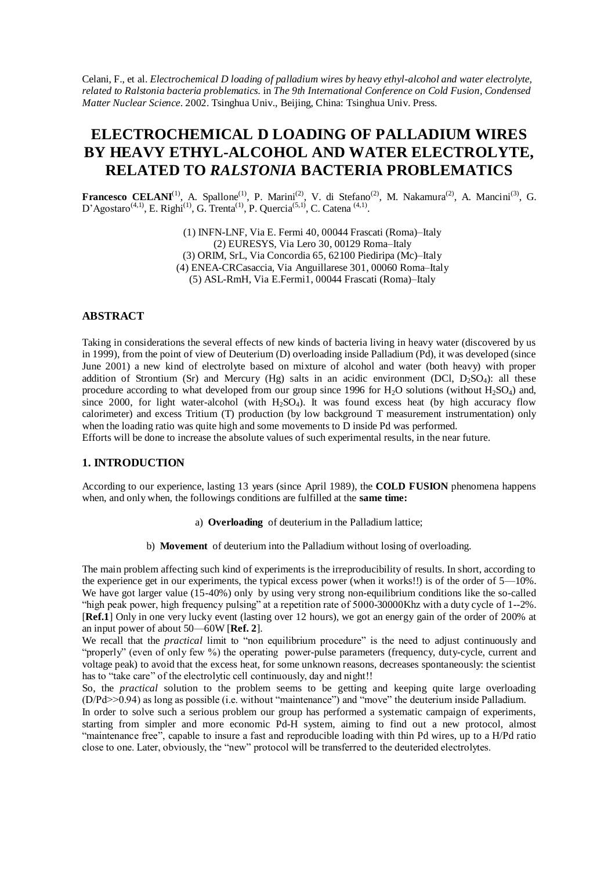Celani, F., et al. *Electrochemical D loading of palladium wires by heavy ethyl-alcohol and water electrolyte, related to Ralstonia bacteria problematics.* in *The 9th International Conference on Cold Fusion, Condensed Matter Nuclear Science*. 2002. Tsinghua Univ., Beijing, China: Tsinghua Univ. Press.

# **ELECTROCHEMICAL D LOADING OF PALLADIUM WIRES BY HEAVY ETHYL-ALCOHOL AND WATER ELECTROLYTE, RELATED TO** *RALSTONIA* **BACTERIA PROBLEMATICS**

**Francesco CELANI**<sup>(1)</sup>, A. Spallone<sup>(1)</sup>, P. Marini<sup>(2)</sup>, V. di Stefano<sup>(2)</sup>, M. Nakamura<sup>(2)</sup>, A. Mancini<sup>(3)</sup>, G. D'Agostaro<sup>(4,1)</sup>, E. Righi<sup>(1)</sup>, G. Trenta<sup>(1)</sup>, P. Quercia<sup>(5,1)</sup>, C. Catena<sup>(4,1)</sup>.

> (1) INFN-LNF, Via E. Fermi 40, 00044 Frascati (Roma)–Italy (2) EURESYS, Via Lero 30, 00129 Roma–Italy (3) ORIM, SrL, Via Concordia 65, 62100 Piediripa (Mc)–Italy (4) ENEA-CRCasaccia, Via Anguillarese 301, 00060 Roma–Italy (5) ASL-RmH, Via E.Fermi1, 00044 Frascati (Roma)–Italy

# **ABSTRACT**

Taking in considerations the several effects of new kinds of bacteria living in heavy water (discovered by us in 1999), from the point of view of Deuterium (D) overloading inside Palladium (Pd), it was developed (since June 2001) a new kind of electrolyte based on mixture of alcohol and water (both heavy) with proper addition of Strontium (Sr) and Mercury (Hg) salts in an acidic environment (DCl,  $D_2SO_4$ ): all these procedure according to what developed from our group since 1996 for  $H_2O$  solutions (without  $H_2SO_4$ ) and, since 2000, for light water-alcohol (with  $H_2SO_4$ ). It was found excess heat (by high accuracy flow calorimeter) and excess Tritium (T) production (by low background T measurement instrumentation) only when the loading ratio was quite high and some movements to D inside Pd was performed.

Efforts will be done to increase the absolute values of such experimental results, in the near future.

# **1. INTRODUCTION**

According to our experience, lasting 13 years (since April 1989), the **COLD FUSION** phenomena happens when, and only when, the followings conditions are fulfilled at the **same time:**

- a) **Overloading** of deuterium in the Palladium lattice;
- b) **Movement** of deuterium into the Palladium without losing of overloading.

The main problem affecting such kind of experiments is the irreproducibility of results. In short, according to the experience get in our experiments, the typical excess power (when it works!!) is of the order of 5—10%. We have got larger value (15-40%) only by using very strong non-equilibrium conditions like the so-called "high peak power, high frequency pulsing" at a repetition rate of 5000-30000Khz with a duty cycle of 1--2%. [**Ref.1**] Only in one very lucky event (lasting over 12 hours), we got an energy gain of the order of 200% at an input power of about 50—60W [**Ref. 2**].

We recall that the *practical* limit to "non equilibrium procedure" is the need to adjust continuously and "properly" (even of only few  $\%$ ) the operating power-pulse parameters (frequency, duty-cycle, current and voltage peak) to avoid that the excess heat, for some unknown reasons, decreases spontaneously: the scientist has to "take care" of the electrolytic cell continuously, day and night!!

So, the *practical* solution to the problem seems to be getting and keeping quite large overloading  $(D/Pd>0.94)$  as long as possible (i.e. without "maintenance") and "move" the deuterium inside Palladium.

In order to solve such a serious problem our group has performed a systematic campaign of experiments, starting from simpler and more economic Pd-H system, aiming to find out a new protocol, almost "maintenance free", capable to insure a fast and reproducible loading with thin Pd wires, up to a H/Pd ratio close to one. Later, obviously, the "new" protocol will be transferred to the deuterided electrolytes.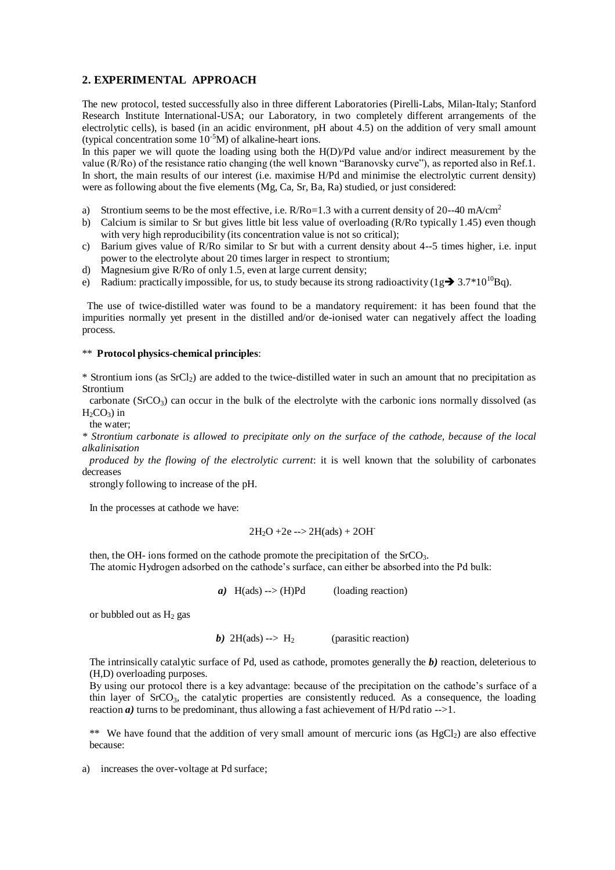# **2. EXPERIMENTAL APPROACH**

The new protocol, tested successfully also in three different Laboratories (Pirelli-Labs, Milan-Italy; Stanford Research Institute International-USA; our Laboratory, in two completely different arrangements of the electrolytic cells), is based (in an acidic environment, pH about 4.5) on the addition of very small amount (typical concentration some  $10^{-5}$ M) of alkaline-heart ions.

In this paper we will quote the loading using both the H(D)/Pd value and/or indirect measurement by the value (R/Ro) of the resistance ratio changing (the well known "Baranovsky curve"), as reported also in Ref.1. In short, the main results of our interest (i.e. maximise H/Pd and minimise the electrolytic current density) were as following about the five elements (Mg, Ca, Sr, Ba, Ra) studied, or just considered:

- a) Strontium seems to be the most effective, i.e.  $R/Ro=1.3$  with a current density of 20--40 mA/cm<sup>2</sup>
- b) Calcium is similar to Sr but gives little bit less value of overloading (R/Ro typically 1.45) even though with very high reproducibility (its concentration value is not so critical);
- c) Barium gives value of  $R/Ro$  similar to Sr but with a current density about 4--5 times higher, i.e. input power to the electrolyte about 20 times larger in respect to strontium;
- d) Magnesium give R/Ro of only 1.5, even at large current density;
- e) Radium: practically impossible, for us, to study because its strong radioactivity ( $1g \rightarrow 3.7*10^{10}$ Bq).

The use of twice-distilled water was found to be a mandatory requirement: it has been found that the impurities normally yet present in the distilled and/or de-ionised water can negatively affect the loading process.

#### \*\* **Protocol physics-chemical principles**:

\* Strontium ions (as SrCl2) are added to the twice-distilled water in such an amount that no precipitation as Strontium

carbonate ( $SrCO<sub>3</sub>$ ) can occur in the bulk of the electrolyte with the carbonic ions normally dissolved (as  $H_2CO_3$ ) in

the water;

*\* Strontium carbonate is allowed to precipitate only on the surface of the cathode, because of the local alkalinisation*

*produced by the flowing of the electrolytic current*: it is well known that the solubility of carbonates decreases

strongly following to increase of the pH.

In the processes at cathode we have:

$$
2H_2O + 2e
$$
 -->  $2H(ads) + 2OH^-$ 

then, the OH- ions formed on the cathode promote the precipitation of the  $SrCO<sub>3</sub>$ .

The atomic Hydrogen adsorbed on the cathode's surface, can either be absorbed into the Pd bulk:

*a)* H(ads) --> (H)Pd (loading reaction)

or bubbled out as  $H_2$  gas

*b*) 2H(ads) --> H<sub>2</sub> (parasitic reaction)

The intrinsically catalytic surface of Pd, used as cathode, promotes generally the *b)* reaction, deleterious to (H,D) overloading purposes.

By using our protocol there is a key advantage: because of the precipitation on the cathode's surface of a thin layer of  $SrCO<sub>3</sub>$ , the catalytic properties are consistently reduced. As a consequence, the loading reaction  $\alpha$ ) turns to be predominant, thus allowing a fast achievement of H/Pd ratio  $\rightarrow$ - $\rightarrow$ 1.

\*\* We have found that the addition of very small amount of mercuric ions (as  $HgCl<sub>2</sub>$ ) are also effective because:

a) increases the over-voltage at Pd surface;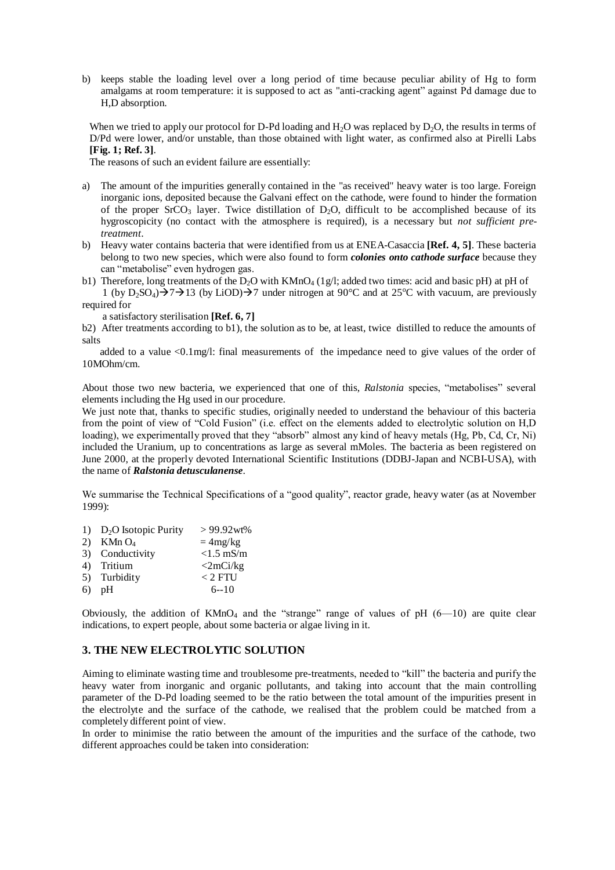b) keeps stable the loading level over a long period of time because peculiar ability of Hg to form amalgams at room temperature: it is supposed to act as "anti-cracking agent" against Pd damage due to H,D absorption.

When we tried to apply our protocol for D-Pd loading and  $H_2O$  was replaced by  $D_2O$ , the results in terms of D/Pd were lower, and/or unstable, than those obtained with light water, as confirmed also at Pirelli Labs **[Fig. 1; Ref. 3]**.

The reasons of such an evident failure are essentially:

- a) The amount of the impurities generally contained in the "as received" heavy water is too large. Foreign inorganic ions, deposited because the Galvani effect on the cathode, were found to hinder the formation of the proper SrCO<sub>3</sub> layer. Twice distillation of  $D_2O$ , difficult to be accomplished because of its hygroscopicity (no contact with the atmosphere is required), is a necessary but *not sufficient pretreatment*.
- b) Heavy water contains bacteria that were identified from us at ENEA-Casaccia **[Ref. 4, 5]**. These bacteria belong to two new species, which were also found to form *colonies onto cathode surface* because they can "metabolise" even hydrogen gas.
- b1) Therefore, long treatments of the  $D_2O$  with  $KMnO_4$  (1g/l; added two times: acid and basic pH) at pH of 1 (by  $D_2SO_4$ ) $\rightarrow$  7  $\rightarrow$  13 (by LiOD) $\rightarrow$  7 under nitrogen at 90°C and at 25°C with vacuum, are previously required for

a satisfactory sterilisation **[Ref. 6, 7]**

b2) After treatments according to b1), the solution as to be, at least, twice distilled to reduce the amounts of salts

added to a value <0.1mg/l: final measurements of the impedance need to give values of the order of 10MOhm/cm.

About those two new bacteria, we experienced that one of this, *Ralstonia* species, "metabolises" several elements including the Hg used in our procedure.

We just note that, thanks to specific studies, originally needed to understand the behaviour of this bacteria from the point of view of "Cold Fusion" (i.e. effect on the elements added to electrolytic solution on H,D loading), we experimentally proved that they "absorb" almost any kind of heavy metals (Hg, Pb, Cd, Cr, Ni) included the Uranium, up to concentrations as large as several mMoles. The bacteria as been registered on June 2000, at the properly devoted International Scientific Institutions (DDBJ-Japan and NCBI-USA), with the name of *Ralstonia detusculanense*.

We summarise the Technical Specifications of a "good quality", reactor grade, heavy water (as at November 1999):

|    | 1) D <sub>2</sub> O Isotopic Purity | $>99.92$ wt%      |
|----|-------------------------------------|-------------------|
| 2) | $\rm$ KMn $\rm O_{4}$               | $=4mg/kg$         |
|    | 3) Conductivity                     | $<1.5$ mS/m       |
|    | 4) Tritium                          | $\langle 2mCi/kg$ |
|    | 5) Turbidity                        | $< 2$ FTU         |
|    | $6)$ pH                             | $6 - 10$          |
|    |                                     |                   |

Obviously, the addition of  $KMnO_4$  and the "strange" range of values of pH  $(6-10)$  are quite clear indications, to expert people, about some bacteria or algae living in it.

# **3. THE NEW ELECTROLYTIC SOLUTION**

Aiming to eliminate wasting time and troublesome pre-treatments, needed to "kill" the bacteria and purify the heavy water from inorganic and organic pollutants, and taking into account that the main controlling parameter of the D-Pd loading seemed to be the ratio between the total amount of the impurities present in the electrolyte and the surface of the cathode, we realised that the problem could be matched from a completely different point of view.

In order to minimise the ratio between the amount of the impurities and the surface of the cathode, two different approaches could be taken into consideration: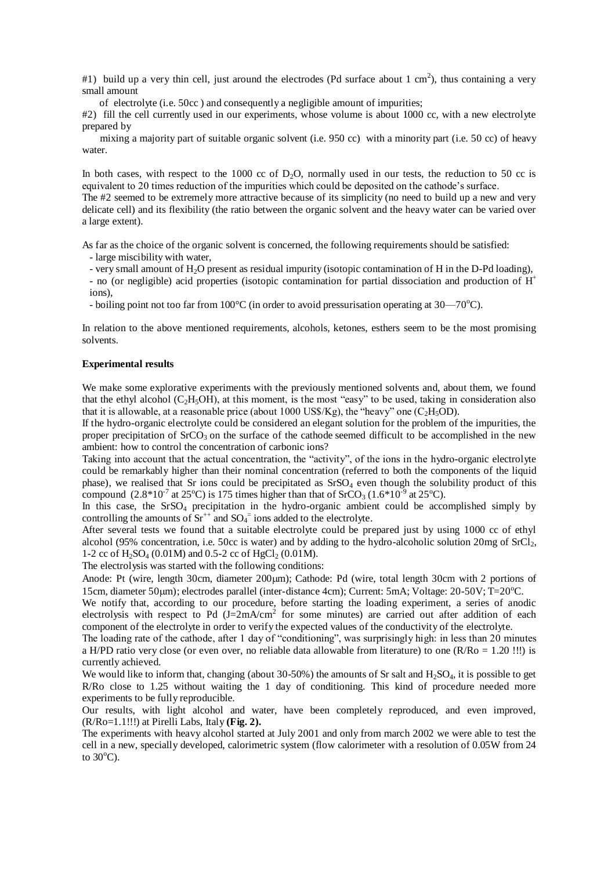#1) build up a very thin cell, just around the electrodes (Pd surface about 1 cm<sup>2</sup>), thus containing a very small amount

of electrolyte (i.e. 50cc ) and consequently a negligible amount of impurities;

#2) fill the cell currently used in our experiments, whose volume is about 1000 cc, with a new electrolyte prepared by

mixing a majority part of suitable organic solvent (i.e. 950 cc) with a minority part (i.e. 50 cc) of heavy water.

In both cases, with respect to the 1000 cc of D<sub>2</sub>O, normally used in our tests, the reduction to 50 cc is equivalent to 20 times reduction of the impurities which could be deposited on the cathode's surface.

The #2 seemed to be extremely more attractive because of its simplicity (no need to build up a new and very delicate cell) and its flexibility (the ratio between the organic solvent and the heavy water can be varied over a large extent).

As far as the choice of the organic solvent is concerned, the following requirements should be satisfied:

- large miscibility with water,

- very small amount of H2O present as residual impurity (isotopic contamination of H in the D-Pd loading),

- no (or negligible) acid properties (isotopic contamination for partial dissociation and production of H<sup>+</sup> ions),

- boiling point not too far from  $100^{\circ}$ C (in order to avoid pressurisation operating at 30—70 $^{\circ}$ C).

In relation to the above mentioned requirements, alcohols, ketones, esthers seem to be the most promising solvents.

#### **Experimental results**

We make some explorative experiments with the previously mentioned solvents and, about them, we found that the ethyl alcohol ( $C_2H_5OH$ ), at this moment, is the most "easy" to be used, taking in consideration also that it is allowable, at a reasonable price (about 1000 US\$/Kg), the "heavy" one (C<sub>2</sub>H<sub>5</sub>OD).

If the hydro-organic electrolyte could be considered an elegant solution for the problem of the impurities, the proper precipitation of  $SrCO<sub>3</sub>$  on the surface of the cathode seemed difficult to be accomplished in the new ambient: how to control the concentration of carbonic ions?

Taking into account that the actual concentration, the "activity", of the ions in the hydro-organic electrolyte could be remarkably higher than their nominal concentration (referred to both the components of the liquid phase), we realised that Sr ions could be precipitated as  $SrSO<sub>4</sub>$  even though the solubility product of this compound  $(2.8*10<sup>-7</sup>$  at 25<sup>o</sup>C) is 175 times higher than that of SrCO<sub>3</sub>  $(1.6*10<sup>-9</sup>$  at 25<sup>o</sup>C).

In this case, the SrSO<sub>4</sub> precipitation in the hydro-organic ambient could be accomplished simply by controlling the amounts of  $Sr^{++}$  and  $SO_4^-$  ions added to the electrolyte.

After several tests we found that a suitable electrolyte could be prepared just by using 1000 cc of ethyl alcohol (95% concentration, i.e. 50cc is water) and by adding to the hydro-alcoholic solution 20mg of  $SrCl<sub>2</sub>$ , 1-2 cc of  $H_2SO_4$  (0.01M) and 0.5-2 cc of HgCl<sub>2</sub> (0.01M).

The electrolysis was started with the following conditions:

Anode: Pt (wire, length 30cm, diameter 200 $\mu$ m); Cathode: Pd (wire, total length 30cm with 2 portions of 15cm, diameter 50um); electrodes parallel (inter-distance 4cm); Current: 5mA; Voltage: 20-50V; T=20<sup>o</sup>C.

We notify that, according to our procedure, before starting the loading experiment, a series of anodic electrolysis with respect to Pd  $(J=2mA/cm<sup>2</sup>$  for some minutes) are carried out after addition of each component of the electrolyte in order to verify the expected values of the conductivity of the electrolyte.

The loading rate of the cathode, after 1 day of "conditioning", was surprisingly high: in less than 20 minutes a H/PD ratio very close (or even over, no reliable data allowable from literature) to one (R/Ro = 1.20 !!!) is currently achieved.

We would like to inform that, changing (about  $30-50\%$ ) the amounts of Sr salt and  $H_2SO_4$ , it is possible to get R/Ro close to 1.25 without waiting the 1 day of conditioning. This kind of procedure needed more experiments to be fully reproducible.

Our results, with light alcohol and water, have been completely reproduced, and even improved, (R/Ro=1.1!!!) at Pirelli Labs, Italy **(Fig. 2).**

The experiments with heavy alcohol started at July 2001 and only from march 2002 we were able to test the cell in a new, specially developed, calorimetric system (flow calorimeter with a resolution of 0.05W from 24 to  $30^{\circ}$ C).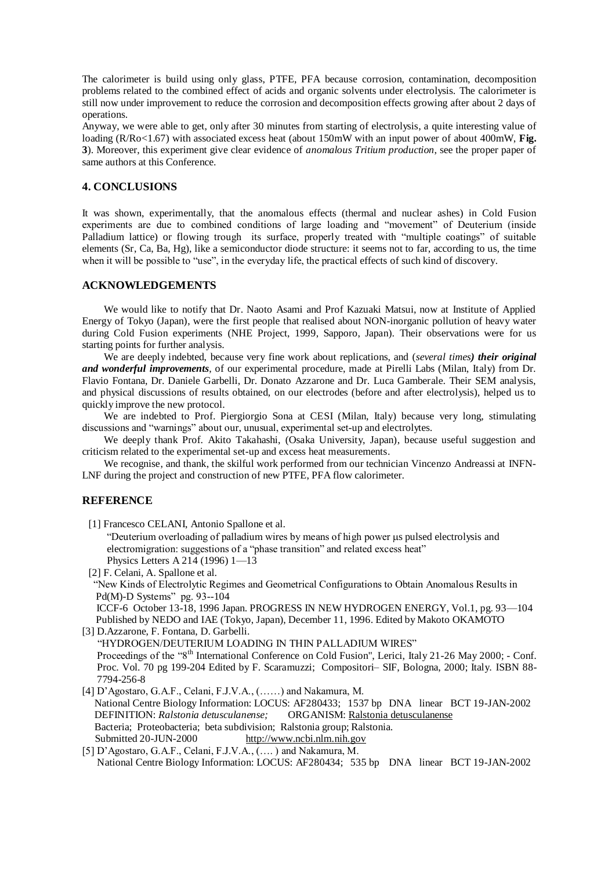The calorimeter is build using only glass, PTFE, PFA because corrosion, contamination, decomposition problems related to the combined effect of acids and organic solvents under electrolysis. The calorimeter is still now under improvement to reduce the corrosion and decomposition effects growing after about 2 days of operations.

Anyway, we were able to get, only after 30 minutes from starting of electrolysis, a quite interesting value of loading (R/Ro<1.67) with associated excess heat (about 150mW with an input power of about 400mW, **Fig. 3**). Moreover, this experiment give clear evidence of *anomalous Tritium production*, see the proper paper of same authors at this Conference.

# **4. CONCLUSIONS**

It was shown, experimentally, that the anomalous effects (thermal and nuclear ashes) in Cold Fusion experiments are due to combined conditions of large loading and "movement" of Deuterium (inside Palladium lattice) or flowing trough its surface, properly treated with "multiple coatings" of suitable elements (Sr, Ca, Ba, Hg), like a semiconductor diode structure: it seems not to far, according to us, the time when it will be possible to "use", in the everyday life, the practical effects of such kind of discovery.

### **ACKNOWLEDGEMENTS**

We would like to notify that Dr. Naoto Asami and Prof Kazuaki Matsui, now at Institute of Applied Energy of Tokyo (Japan), were the first people that realised about NON-inorganic pollution of heavy water during Cold Fusion experiments (NHE Project, 1999, Sapporo, Japan). Their observations were for us starting points for further analysis.

We are deeply indebted, because very fine work about replications, and (*several times) their original and wonderful improvements*, of our experimental procedure, made at Pirelli Labs (Milan, Italy) from Dr. Flavio Fontana, Dr. Daniele Garbelli, Dr. Donato Azzarone and Dr. Luca Gamberale. Their SEM analysis, and physical discussions of results obtained, on our electrodes (before and after electrolysis), helped us to quickly improve the new protocol.

We are indebted to Prof. Piergiorgio Sona at CESI (Milan, Italy) because very long, stimulating discussions and "warnings" about our, unusual, experimental set-up and electrolytes.

We deeply thank Prof. Akito Takahashi, (Osaka University, Japan), because useful suggestion and criticism related to the experimental set-up and excess heat measurements.

We recognise, and thank, the skilful work performed from our technician Vincenzo Andreassi at INFN-LNF during the project and construction of new PTFE, PFA flow calorimeter.

### **REFERENCE**

[1] Francesco CELANI, Antonio Spallone et al.

"Deuterium overloading of palladium wires by means of high power us pulsed electrolysis and electromigration: suggestions of a "phase transition" and related excess heat" Physics Letters A 214 (1996) 1—13

[2] F. Celani, A. Spallone et al.

"New Kinds of Electrolytic Regimes and Geometrical Configurations to Obtain Anomalous Results in Pd(M)-D Systems" pg. 93--104

ICCF-6 October 13-18, 1996 Japan. PROGRESS IN NEW HYDROGEN ENERGY, Vol.1, pg. 93—104 Published by NEDO and IAE (Tokyo, Japan), December 11, 1996. Edited by Makoto OKAMOTO [3] D.Azzarone, F. Fontana, D. Garbelli.

"HYDROGEN/DEUTERIUM LOADING IN THIN PALLADIUM WIRES" Proceedings of the "8<sup>th</sup> International Conference on Cold Fusion", Lerici, Italy 21-26 May 2000; - Conf. Proc. Vol. 70 pg 199-204 Edited by F. Scaramuzzi; Compositori–SIF, Bologna, 2000; Italy. ISBN 88- 7794-256-8

[4] D'Agostaro, G.A.F., Celani, F.J.V.A., (……) and Nakamura, M. National Centre Biology Information: LOCUS: AF280433; 1537 bp DNA linear BCT 19-JAN-2002 DEFINITION: *Ralstonia detusculanense;* ORGANISM: Ralstonia detusculanense Bacteria; Proteobacteria; beta subdivision; Ralstonia group; Ralstonia. Submitted 20-JUN-2000 [http://www.ncbi.nlm.nih.gov](http://www.ncbi.nlm.nih.gov/)

[5] D'Agostaro, G.A.F., Celani, F.J.V.A.,  $(...)$  and Nakamura, M. National Centre Biology Information: LOCUS: AF280434; 535 bp DNA linear BCT 19-JAN-2002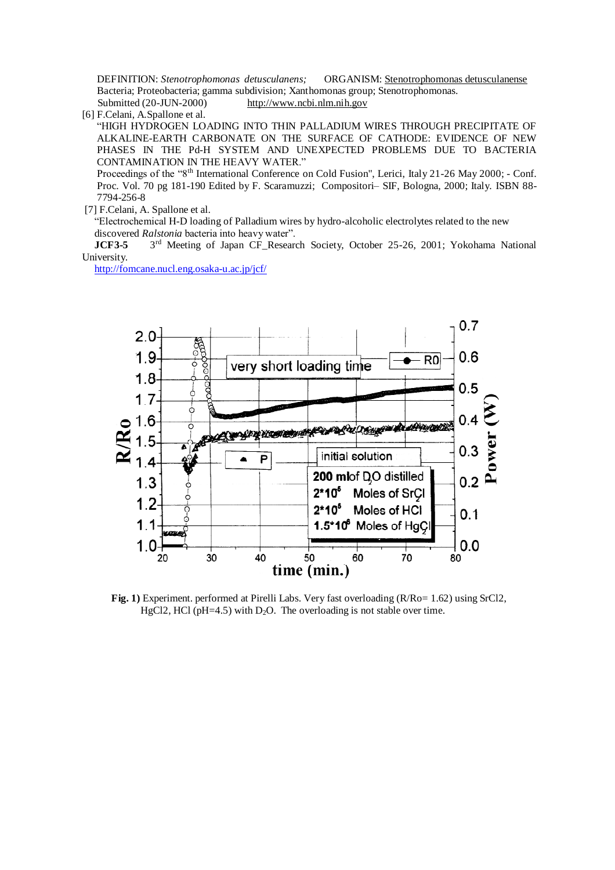DEFINITION: *Stenotrophomonas detusculanens;* ORGANISM: Stenotrophomonas detusculanense Bacteria; Proteobacteria; gamma subdivision; Xanthomonas group; Stenotrophomonas. Submitted (20-JUN-2000) [http://www.ncbi.nlm.nih.gov](http://www.ncbi.nlm.nih.gov/)

[6] F.Celani, A.Spallone et al.

"HIGH HYDROGEN LOADING INTO THIN PALLADIUM WIRES THROUGH PRECIPITATE OF ALKALINE-EARTH CARBONATE ON THE SURFACE OF CATHODE: EVIDENCE OF NEW PHASES IN THE Pd-H SYSTEM AND UNEXPECTED PROBLEMS DUE TO BACTERIA CONTAMINATION IN THE HEAVY WATER."

Proceedings of the "8<sup>th</sup> International Conference on Cold Fusion", Lerici, Italy 21-26 May 2000; - Conf. Proc. Vol. 70 pg 181-190 Edited by F. Scaramuzzi; Compositori–SIF, Bologna, 2000; Italy. ISBN 88- 7794-256-8

[7] F.Celani, A. Spallone et al.

"ElectrochemicalH-D loading of Palladium wires by hydro-alcoholic electrolytes related to the new discovered *Ralstonia* bacteria into heavy water".

**JCF3-5** 3<sup>rd</sup> Meeting of Japan CF Research Society, October 25-26, 2001; Yokohama National University.

<http://fomcane.nucl.eng.osaka-u.ac.jp/jcf/>



**Fig. 1)** Experiment. performed at Pirelli Labs. Very fast overloading (R/Ro= 1.62) using SrCl2, HgCl2, HCl ( $pH=4.5$ ) with D<sub>2</sub>O. The overloading is not stable over time.